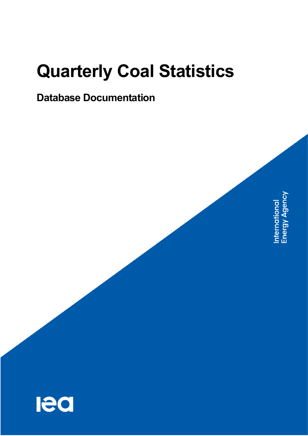# **Quarterly Coal Statistics**

# **Database Documentation**

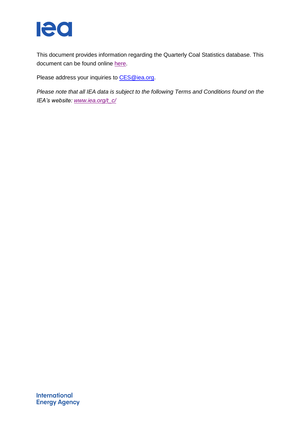

This document provides information regarding the Quarterly Coal Statistics database. This document can be found online [here.](http://wds.iea.org/wds/pdf/QCS_Documentation.pdf)

Please address your inquiries to [CES@iea.org.](mailto:CES@iea.org)

*Please note that all IEA data is subject to the following Terms and Conditions found on the IEA's website: [www.iea.org/t\\_c/](http://www.iea.org/t&c/)*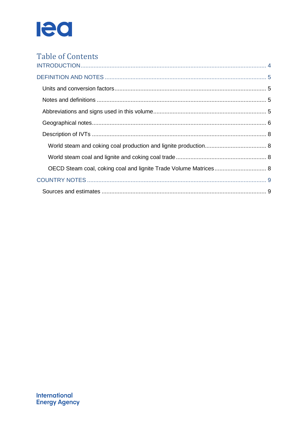

| <b>Table of Contents</b>                                         |  |
|------------------------------------------------------------------|--|
|                                                                  |  |
|                                                                  |  |
|                                                                  |  |
|                                                                  |  |
|                                                                  |  |
|                                                                  |  |
|                                                                  |  |
|                                                                  |  |
| OECD Steam coal, coking coal and lignite Trade Volume Matrices 8 |  |
|                                                                  |  |
|                                                                  |  |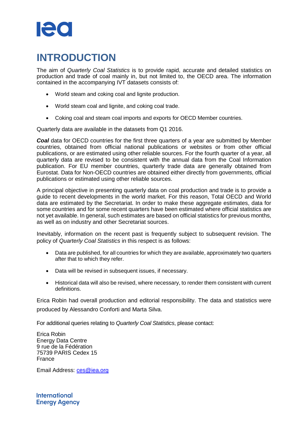# le c

# <span id="page-3-0"></span>**INTRODUCTION**

The aim of *Quarterly Coal Statistics* is to provide rapid, accurate and detailed statistics on production and trade of coal mainly in, but not limited to, the OECD area. The information contained in the accompanying IVT datasets consists of:

- World steam and coking coal and lignite production.
- World steam coal and lignite, and coking coal trade.
- Coking coal and steam coal imports and exports for OECD Member countries.

Quarterly data are available in the datasets from Q1 2016.

**Coal** data for OECD countries for the first three quarters of a year are submitted by Member countries, obtained from official national publications or websites or from other official publications, or are estimated using other reliable sources. For the fourth quarter of a year, all quarterly data are revised to be consistent with the annual data from the Coal Information publication. For EU member countries, quarterly trade data are generally obtained from Eurostat. Data for Non-OECD countries are obtained either directly from governments, official publications or estimated using other reliable sources.

A principal objective in presenting quarterly data on coal production and trade is to provide a guide to recent developments in the world market. For this reason, Total OECD and World data are estimated by the Secretariat. In order to make these aggregate estimates, data for some countries and for some recent quarters have been estimated where official statistics are not yet available. In general, such estimates are based on official statistics for previous months, as well as on industry and other Secretariat sources.

Inevitably, information on the recent past is frequently subject to subsequent revision. The policy of *Quarterly Coal Statistics* in this respect is as follows:

- Data are published, for all countries for which they are available, approximately two quarters after that to which they refer.
- Data will be revised in subsequent issues, if necessary.
- Historical data will also be revised, where necessary, to render them consistent with current definitions.

Erica Robin had overall production and editorial responsibility. The data and statistics were produced by Alessandro Conforti and Marta Silva.

For additional queries relating to *Quarterly Coal Statistics*, please contact:

Erica Robin Energy Data Centre 9 rue de la Fédération 75739 PARIS Cedex 15 France

Email Address: [ces@iea.org](file:///C:/Users/CONFORTI_A/Desktop/ces@iea.org)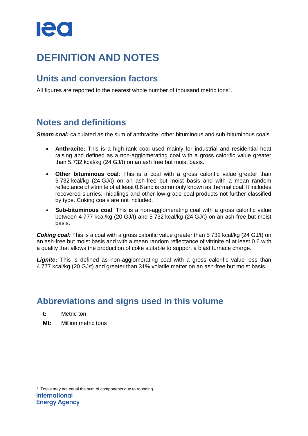# <span id="page-4-0"></span>**DEFINITION AND NOTES**

### <span id="page-4-1"></span>**Units and conversion factors**

All figures are reported to the nearest whole number of thousand metric tons<sup>1</sup>.

# <span id="page-4-2"></span>**Notes and definitions**

*Steam coal:* calculated as the sum of anthracite, other bituminous and sub-bituminous coals.

- **Anthracite:** This is a high-rank coal used mainly for industrial and residential heat raising and defined as a non-agglomerating coal with a gross calorific value greater than 5.732 kcal/kg (24 GJ/t) on an ash free but moist basis.
- **Other bituminous coal**: This is a coal with a gross calorific value greater than 5 732 kcal/kg (24 GJ/t) on an ash-free but moist basis and with a mean random reflectance of vitrinite of at least 0.6 and is commonly known as thermal coal. It includes recovered slurries, middlings and other low-grade coal products not further classified by type. Coking coals are not included.
- **Sub-bituminous coal**: This is a non-agglomerating coal with a gross calorific value between 4 777 kcal/kg (20 GJ/t) and 5 732 kcal/kg (24 GJ/t) on an ash-free but moist basis.

**Coking coal:** This is a coal with a gross calorific value greater than 5 732 kcal/kg (24 GJ/t) on an ash-free but moist basis and with a mean random reflectance of vitrinite of at least 0.6 with a quality that allows the production of coke suitable to support a blast furnace charge.

**Lignite:** This is defined as non-agglomerating coal with a gross calorific value less than 4 777 kcal/kg (20 GJ/t) and greater than 31% volatile matter on an ash-free but moist basis.

# <span id="page-4-3"></span>**Abbreviations and signs used in this volume**

- **t:** Metric ton
- **Mt:** Million metric tons

 1 . Totals may not equal the sum of components due to rounding.International **Energy Agency**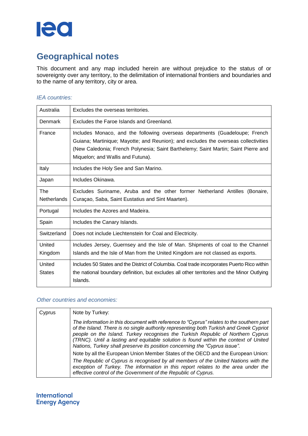

# <span id="page-5-0"></span>**Geographical notes**

This document and any map included herein are without prejudice to the status of or sovereignty over any territory, to the delimitation of international frontiers and boundaries and to the name of any territory, city or area.

#### *IEA countries:*

| Australia                 | Excludes the overseas territories.                                                                                                                                                                                                                                                            |
|---------------------------|-----------------------------------------------------------------------------------------------------------------------------------------------------------------------------------------------------------------------------------------------------------------------------------------------|
| Denmark                   | Excludes the Faroe Islands and Greenland.                                                                                                                                                                                                                                                     |
| France                    | Includes Monaco, and the following overseas departments (Guadeloupe; French<br>Guiana; Martinique; Mayotte; and Reunion); and excludes the overseas collectivities<br>(New Caledonia; French Polynesia; Saint Barthelemy; Saint Martin; Saint Pierre and<br>Miquelon; and Wallis and Futuna). |
| Italy                     | Includes the Holy See and San Marino.                                                                                                                                                                                                                                                         |
| Japan                     | Includes Okinawa.                                                                                                                                                                                                                                                                             |
| The<br><b>Netherlands</b> | Excludes Suriname, Aruba and the other former Netherland Antilles (Bonaire,<br>Curaçao, Saba, Saint Eustatius and Sint Maarten).                                                                                                                                                              |
| Portugal                  | Includes the Azores and Madeira.                                                                                                                                                                                                                                                              |
| Spain                     | Includes the Canary Islands.                                                                                                                                                                                                                                                                  |
| Switzerland               | Does not include Liechtenstein for Coal and Electricity.                                                                                                                                                                                                                                      |
| United<br>Kingdom         | Includes Jersey, Guernsey and the Isle of Man. Shipments of coal to the Channel<br>Islands and the Isle of Man from the United Kingdom are not classed as exports.                                                                                                                            |
| United<br><b>States</b>   | Includes 50 States and the District of Columbia. Coal trade incorporates Puerto Rico within<br>the national boundary definition, but excludes all other territories and the Minor Outlying<br>Islands.                                                                                        |

#### *Other countries and economies:*

| Cyprus | Note by Turkey:                                                                                                                                                                                                                                                                                                                                                                                                                              |
|--------|----------------------------------------------------------------------------------------------------------------------------------------------------------------------------------------------------------------------------------------------------------------------------------------------------------------------------------------------------------------------------------------------------------------------------------------------|
|        | The information in this document with reference to "Cyprus" relates to the southern part<br>of the Island. There is no single authority representing both Turkish and Greek Cypriot<br>people on the Island. Turkey recognises the Turkish Republic of Northern Cyprus<br>(TRNC). Until a lasting and equitable solution is found within the context of United<br>Nations, Turkey shall preserve its position concerning the "Cyprus issue". |
|        | Note by all the European Union Member States of the OECD and the European Union:                                                                                                                                                                                                                                                                                                                                                             |
|        | The Republic of Cyprus is recognised by all members of the United Nations with the<br>exception of Turkey. The information in this report relates to the area under the<br>effective control of the Government of the Republic of Cyprus.                                                                                                                                                                                                    |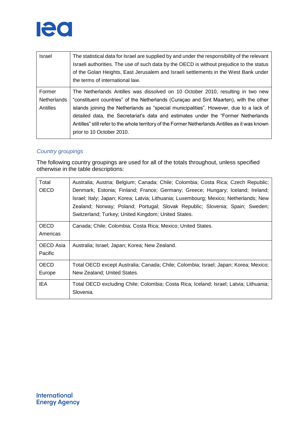

| Israel                            | The statistical data for Israel are supplied by and under the responsibility of the relevant<br>Israeli authorities. The use of such data by the OECD is without prejudice to the status<br>of the Golan Heights, East Jerusalem and Israeli settlements in the West Bank under<br>the terms of international law. |
|-----------------------------------|--------------------------------------------------------------------------------------------------------------------------------------------------------------------------------------------------------------------------------------------------------------------------------------------------------------------|
| Former<br>Netherlands<br>Antilles | The Netherlands Antilles was dissolved on 10 October 2010, resulting in two new<br>"constituent countries" of the Netherlands (Curaçao and Sint Maarten), with the other<br>islands joining the Netherlands as "special municipalities". However, due to a lack of                                                 |
|                                   | detailed data, the Secretariat's data and estimates under the "Former Netherlands<br>Antilles" still refer to the whole territory of the Former Netherlands Antilles as it was known<br>prior to 10 October 2010.                                                                                                  |

#### *Country groupings*

The following country groupings are used for all of the totals throughout, unless specified otherwise in the table descriptions:

| Total       | Australia; Austria; Belgium; Canada; Chile; Colombia; Costa Rica; Czech Republic;                                                                                      |
|-------------|------------------------------------------------------------------------------------------------------------------------------------------------------------------------|
| OECD        | Denmark; Estonia; Finland; France; Germany; Greece; Hungary; Iceland; Ireland;<br>Israel; Italy; Japan; Korea; Latvia; Lithuania; Luxembourg; Mexico; Netherlands; New |
|             | Zealand; Norway; Poland; Portugal; Slovak Republic; Slovenia; Spain; Sweden;                                                                                           |
|             | Switzerland; Turkey; United Kingdom; United States.                                                                                                                    |
| <b>OECD</b> | Canada; Chile; Colombia; Costa Rica; Mexico; United States.                                                                                                            |
| Americas    |                                                                                                                                                                        |
| OECD Asia   | Australia; Israel; Japan; Korea; New Zealand.                                                                                                                          |
| Pacific     |                                                                                                                                                                        |
| <b>OECD</b> | Total OECD except Australia; Canada; Chile; Colombia; Israel; Japan; Korea; Mexico;                                                                                    |
| Europe      | New Zealand; United States.                                                                                                                                            |
| IEA         | Total OECD excluding Chile; Colombia; Costa Rica; Iceland; Israel; Latvia; Lithuania;                                                                                  |
|             | Slovenia.                                                                                                                                                              |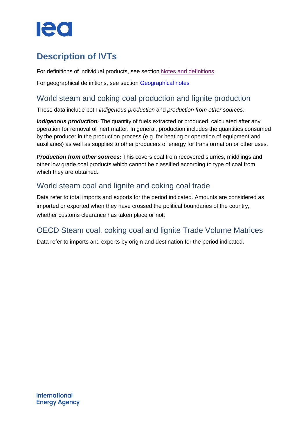# 120

# <span id="page-7-0"></span>**Description of IVTs**

For definitions of individual products, see section [Notes and definitions](#page-4-0)

For geographical definitions, see section [Geographical notes](#page-5-0)

### <span id="page-7-1"></span>World steam and coking coal production and lignite production

These data include both *indigenous production* and *production from other sources*.

**Indigenous production**: The quantity of fuels extracted or produced, calculated after any operation for removal of inert matter. In general, production includes the quantities consumed by the producer in the production process (e.g. for heating or operation of equipment and auxiliaries) as well as supplies to other producers of energy for transformation or other uses.

*Production from other sources:* This covers coal from recovered slurries, middlings and other low grade coal products which cannot be classified according to type of coal from which they are obtained.

### <span id="page-7-2"></span>World steam coal and lignite and coking coal trade

Data refer to total imports and exports for the period indicated. Amounts are considered as imported or exported when they have crossed the political boundaries of the country, whether customs clearance has taken place or not.

### <span id="page-7-3"></span>OECD Steam coal, coking coal and lignite Trade Volume Matrices

Data refer to imports and exports by origin and destination for the period indicated.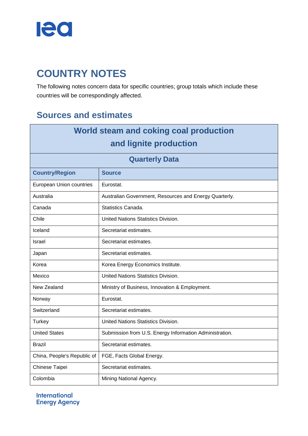

# <span id="page-8-0"></span>**COUNTRY NOTES**

The following notes concern data for specific countries; group totals which include these countries will be correspondingly affected.

## <span id="page-8-1"></span>**Sources and estimates**

| World steam and coking coal production |                                                         |  |
|----------------------------------------|---------------------------------------------------------|--|
| and lignite production                 |                                                         |  |
| <b>Quarterly Data</b>                  |                                                         |  |
| <b>Country/Region</b>                  | <b>Source</b>                                           |  |
| European Union countries               | Eurostat.                                               |  |
| Australia                              | Australian Government, Resources and Energy Quarterly.  |  |
| Canada                                 | Statistics Canada.                                      |  |
| Chile                                  | United Nations Statistics Division.                     |  |
| Iceland                                | Secretariat estimates.                                  |  |
| Israel                                 | Secretariat estimates.                                  |  |
| Japan                                  | Secretariat estimates.                                  |  |
| Korea                                  | Korea Energy Economics Institute.                       |  |
| Mexico                                 | United Nations Statistics Division.                     |  |
| New Zealand                            | Ministry of Business, Innovation & Employment.          |  |
| Norway                                 | Eurostat.                                               |  |
| Switzerland                            | Secretariat estimates.                                  |  |
| <b>Turkey</b>                          | United Nations Statistics Division.                     |  |
| <b>United States</b>                   | Submission from U.S. Energy Information Administration. |  |
| Brazil                                 | Secretariat estimates.                                  |  |
| China, People's Republic of            | FGE, Facts Global Energy.                               |  |
| Chinese Taipei                         | Secretariat estimates.                                  |  |
| Colombia                               | Mining National Agency.                                 |  |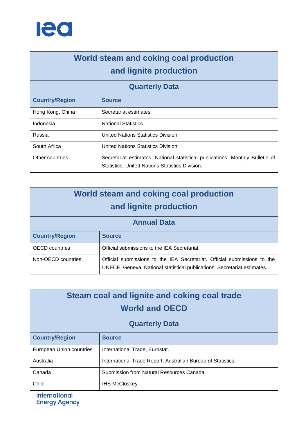

# **World steam and coking coal production and lignite production**

### **Quarterly Data**

| <b>Country/Region</b> | <b>Source</b>                                                                                                                    |
|-----------------------|----------------------------------------------------------------------------------------------------------------------------------|
| Hong Kong, China      | Secretariat estimates.                                                                                                           |
| Indonesia             | <b>National Statistics.</b>                                                                                                      |
| Russia                | United Nations Statistics Division.                                                                                              |
| South Africa          | United Nations Statistics Division.                                                                                              |
| Other countries       | Secretariat estimates. National statistical publications. Monthly Bulletin of<br>Statistics, United Nations Statistics Division. |

| World steam and coking coal production<br>and lignite production |                                                                                                                                                      |  |
|------------------------------------------------------------------|------------------------------------------------------------------------------------------------------------------------------------------------------|--|
| <b>Annual Data</b>                                               |                                                                                                                                                      |  |
| <b>Country/Region</b>                                            | <b>Source</b>                                                                                                                                        |  |
| <b>OECD</b> countries                                            | Official submissions to the IEA Secretariat.                                                                                                         |  |
| Non-OECD countries                                               | Official submissions to the IEA Secretariat. Official submissions to the<br>UNECE, Geneva. National statistical publications. Secretariat estimates. |  |

| Steam coal and lignite and coking coal trade<br><b>World and OECD</b> |                                                              |  |
|-----------------------------------------------------------------------|--------------------------------------------------------------|--|
| <b>Quarterly Data</b>                                                 |                                                              |  |
| <b>Country/Region</b>                                                 | <b>Source</b>                                                |  |
| European Union countries                                              | International Trade, Eurostat.                               |  |
| Australia                                                             | International Trade Report, Australian Bureau of Statistics. |  |
| Canada                                                                | Submission from Natural Resources Canada.                    |  |
| Chile                                                                 | <b>IHS McCloskey.</b>                                        |  |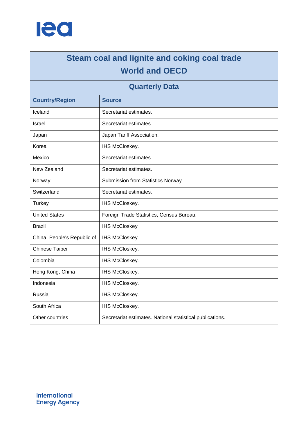

# **Steam coal and lignite and coking coal trade World and OECD**

### **Quarterly Data**

| <b>Country/Region</b>       | <b>Source</b>                                             |
|-----------------------------|-----------------------------------------------------------|
| Iceland                     | Secretariat estimates.                                    |
| <b>Israel</b>               | Secretariat estimates.                                    |
| Japan                       | Japan Tariff Association.                                 |
| Korea                       | IHS McCloskey.                                            |
| Mexico                      | Secretariat estimates.                                    |
| New Zealand                 | Secretariat estimates.                                    |
| Norway                      | Submission from Statistics Norway.                        |
| Switzerland                 | Secretariat estimates.                                    |
| <b>Turkey</b>               | IHS McCloskey.                                            |
| <b>United States</b>        | Foreign Trade Statistics, Census Bureau.                  |
| <b>Brazil</b>               | <b>IHS McCloskey</b>                                      |
| China, People's Republic of | IHS McCloskey.                                            |
| Chinese Taipei              | IHS McCloskey.                                            |
| Colombia                    | IHS McCloskey.                                            |
| Hong Kong, China            | IHS McCloskey.                                            |
| Indonesia                   | IHS McCloskey.                                            |
| Russia                      | IHS McCloskey.                                            |
| South Africa                | IHS McCloskey.                                            |
| Other countries             | Secretariat estimates. National statistical publications. |